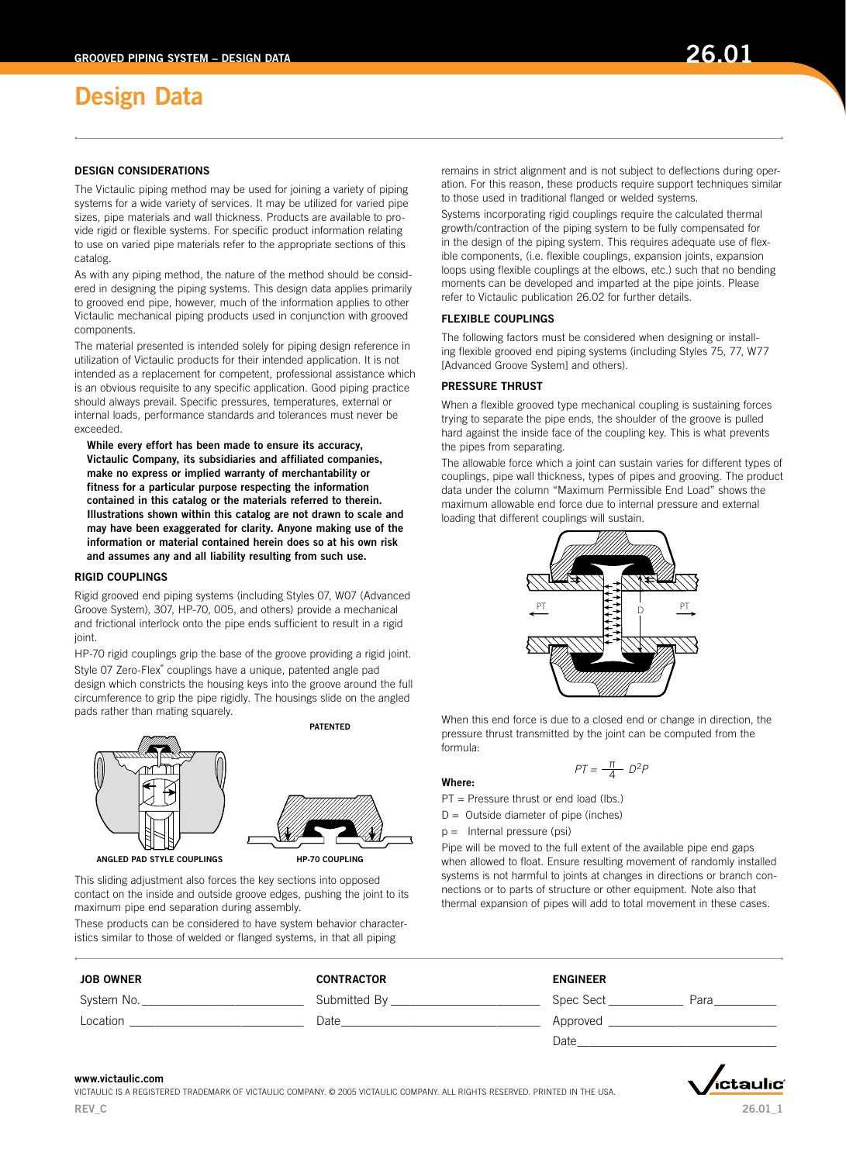## DESIGN CONSIDERATIONS

The Victaulic piping method may be used for joining a variety of piping systems for a wide variety of services. It may be utilized for varied pipe sizes, pipe materials and wall thickness. Products are available to provide rigid or flexible systems. For specific product information relating to use on varied pipe materials refer to the appropriate sections of this catalog.

As with any piping method, the nature of the method should be considered in designing the piping systems. This design data applies primarily to grooved end pipe, however, much of the information applies to other Victaulic mechanical piping products used in conjunction with grooved components.

The material presented is intended solely for piping design reference in utilization of Victaulic products for their intended application. It is not intended as a replacement for competent, professional assistance which is an obvious requisite to any specific application. Good piping practice should always prevail. Specific pressures, temperatures, external or internal loads, performance standards and tolerances must never be exceeded.

While every effort has been made to ensure its accuracy, Victaulic Company, its subsidiaries and affiliated companies, make no express or implied warranty of merchantability or fitness for a particular purpose respecting the information contained in this catalog or the materials referred to therein. Illustrations shown within this catalog are not drawn to scale and may have been exaggerated for clarity. Anyone making use of the information or material contained herein does so at his own risk and assumes any and all liability resulting from such use.

#### RIGID COUPLINGS

Rigid grooved end piping systems (including Styles 07, W07 (Advanced Groove System), 307, HP-70, 005, and others) provide a mechanical and frictional interlock onto the pipe ends sufficient to result in a rigid joint.

HP-70 rigid couplings grip the base of the groove providing a rigid joint. Style 07 Zero-Flex® couplings have a unique, patented angle pad design which constricts the housing keys into the groove around the full circumference to grip the pipe rigidly. The housings slide on the angled



pads rather than mating squarely.

**PATENTED** 



ANGLED PAD STYLE COUPLINGS **HP-70 COUPLING** 

This sliding adjustment also forces the key sections into opposed contact on the inside and outside groove edges, pushing the joint to its maximum pipe end separation during assembly.

These products can be considered to have system behavior characteristics similar to those of welded or flanged systems, in that all piping

remains in strict alignment and is not subject to deflections during operation. For this reason, these products require support techniques similar to those used in traditional flanged or welded systems.

Systems incorporating rigid couplings require the calculated thermal growth/contraction of the piping system to be fully compensated for in the design of the piping system. This requires adequate use of flexible components, (i.e. flexible couplings, expansion joints, expansion loops using flexible couplings at the elbows, etc.) such that no bending moments can be developed and imparted at the pipe joints. Please refer to Victaulic publication 26.02 for further details.

### FLEXIBLE COUPLINGS

The following factors must be considered when designing or installing flexible grooved end piping systems (including Styles 75, 77, W77 [Advanced Groove System] and others).

### PRESSURE THRUST

When a flexible grooved type mechanical coupling is sustaining forces trying to separate the pipe ends, the shoulder of the groove is pulled hard against the inside face of the coupling key. This is what prevents the pipes from separating.

The allowable force which a joint can sustain varies for different types of couplings, pipe wall thickness, types of pipes and grooving. The product data under the column "Maximum Permissible End Load" shows the maximum allowable end force due to internal pressure and external loading that different couplings will sustain.



When this end force is due to a closed end or change in direction, the pressure thrust transmitted by the joint can be computed from the formula:

# $PT = \frac{\pi}{4} D^2 P$

#### Where:

PT = Pressure thrust or end load (lbs.)

- $D =$  Outside diameter of pipe (inches)
- p = Internal pressure (psi)

Pipe will be moved to the full extent of the available pipe end gaps when allowed to float. Ensure resulting movement of randomly installed systems is not harmful to joints at changes in directions or branch connections or to parts of structure or other equipment. Note also that thermal expansion of pipes will add to total movement in these cases.

| <b>JOB OWNER</b> | <b>CONTRACTOR</b> | <b>ENGINEER</b>   |
|------------------|-------------------|-------------------|
| System No.       | Submitted By      | Spec Sect<br>Para |
| Location         | Date              | Approved          |
|                  |                   | Date              |

#### www.victaulic.com

Victaulic is a registered trademark of Victaulic company. © 2005 Victaulic company. all rights reserVed. printed in the usa. REV C

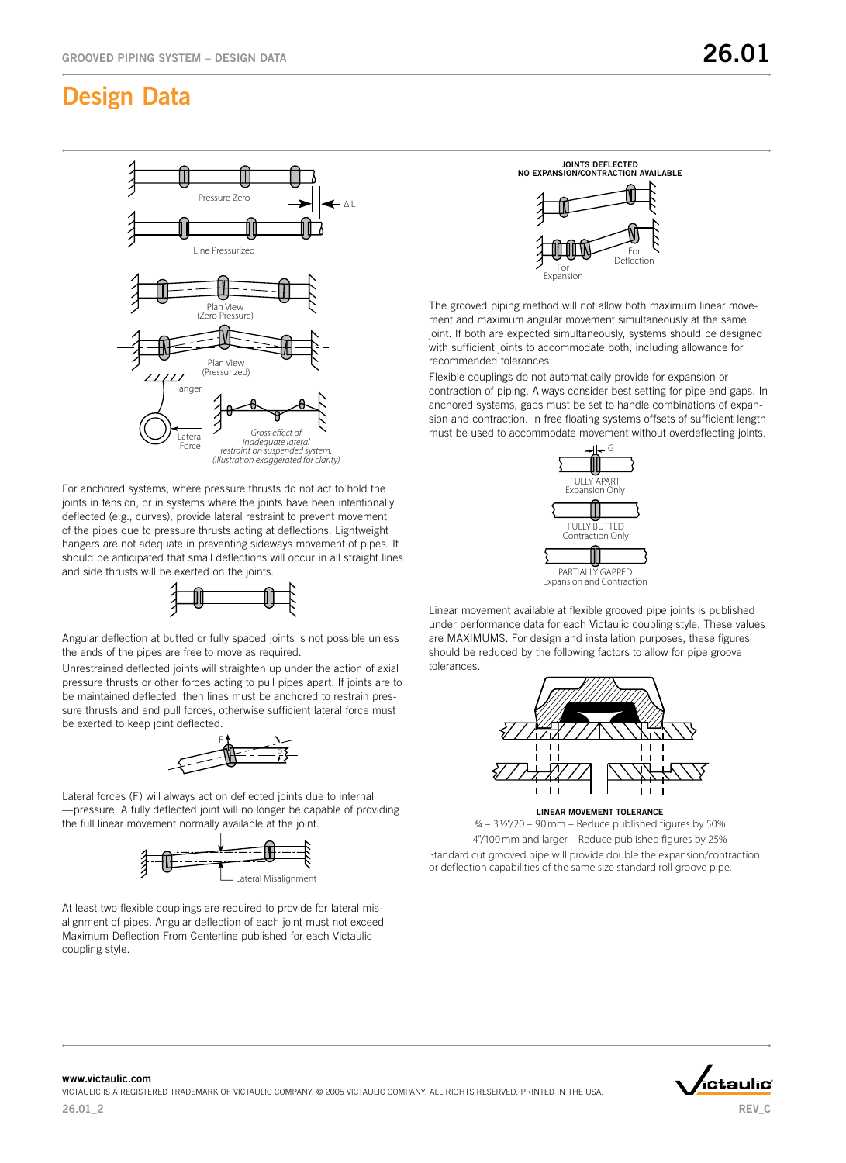

For anchored systems, where pressure thrusts do not act to hold the joints in tension, or in systems where the joints have been intentionally deflected (e.g., curves), provide lateral restraint to prevent movement of the pipes due to pressure thrusts acting at deflections. Lightweight hangers are not adequate in preventing sideways movement of pipes. It should be anticipated that small deflections will occur in all straight lines and side thrusts will be exerted on the joints.



Angular deflection at butted or fully spaced joints is not possible unless the ends of the pipes are free to move as required.

Unrestrained deflected joints will straighten up under the action of axial pressure thrusts or other forces acting to pull pipes apart. If joints are to be maintained deflected, then lines must be anchored to restrain pressure thrusts and end pull forces, otherwise sufficient lateral force must be exerted to keep joint deflected.



Lateral forces (F) will always act on deflected joints due to internal —pressure. A fully deflected joint will no longer be capable of providing the full linear movement normally available at the joint.



At least two flexible couplings are required to provide for lateral misalignment of pipes. Angular deflection of each joint must not exceed Maximum Deflection From Centerline published for each Victaulic coupling style.



The grooved piping method will not allow both maximum linear movement and maximum angular movement simultaneously at the same joint. If both are expected simultaneously, systems should be designed with sufficient joints to accommodate both, including allowance for recommended tolerances.

Flexible couplings do not automatically provide for expansion or contraction of piping. Always consider best setting for pipe end gaps. In anchored systems, gaps must be set to handle combinations of expansion and contraction. In free floating systems offsets of sufficient length must be used to accommodate movement without overdeflecting joints.



Linear movement available at flexible grooved pipe joints is published under performance data for each Victaulic coupling style. These values are MAXIMUMS. For design and installation purposes, these figures should be reduced by the following factors to allow for pipe groove tolerances.



LINEAR MOVEMENT TOLERANCE

 $3/4 - 3$  1/2"/20 – 90 mm – Reduce published figures by 50% 4"/100 mm and larger – Reduce published figures by 25% Standard cut grooved pipe will provide double the expansion/contractio n or deflection capabilities of the same size standard roll groove pipe.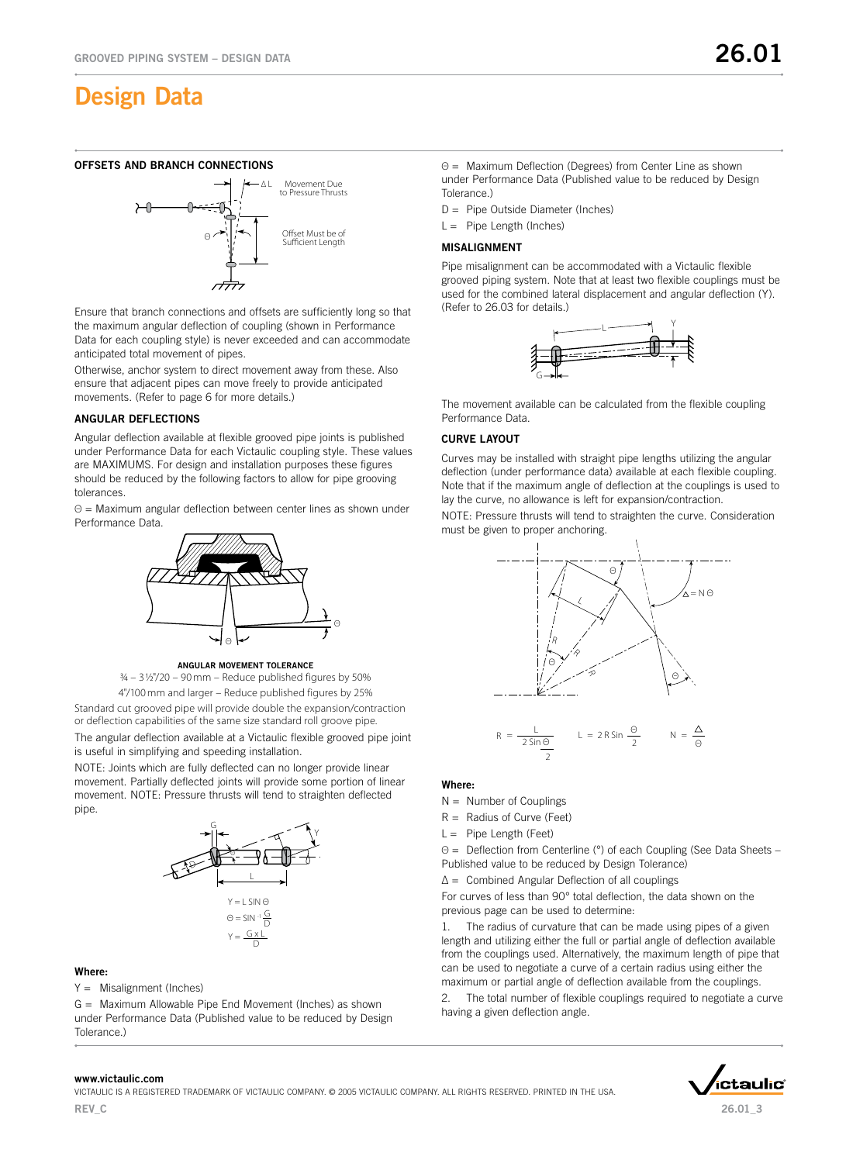# OFFSETS AND BRANCH CONNECTIONS



Ensure that branch connections and offsets are sufficiently long so that the maximum angular deflection of coupling (shown in Performance Data for each coupling style) is never exceeded and can accommodate anticipated total movement of pipes.

Otherwise, anchor system to direct movement away from these. Also ensure that adjacent pipes can move freely to provide anticipated movements. (Refer to page 6 for more details.)

# **ANGULAR DEFLECTIONS**

Angular deflection available at flexible grooved pipe joints is published under Performance Data for each Victaulic coupling style. These values are MAXIMUMS. For design and installation purposes these figures should be reduced by the following factors to allow for pipe grooving tolerances.

Θ = Maximum angular deflection between center lines as shown under Performance Data.



ANGULAR MOVEMENT TOLERANCE

 $3/4 - 3$   $1/2$ "/20 – 90 mm – Reduce published figures by 50%

4"/100 mm and larger – Reduce published figures by 25% Standard cut grooved pipe will provide double the expansion/contraction or deflection capabilities of the same size standard roll groove pipe. The angular deflection available at a Victaulic flexible grooved pipe joint is useful in simplifying and speeding installation.

NOTE: Joints which are fully deflected can no longer provide linear movement. Partially deflected joints will provide some portion of linear movement. NOTE: Pressure thrusts will tend to straighten deflected pipe.



#### Where:

Y = Misalignment (Inches)

G = Maximum Allowable Pipe End Movement (Inches) as shown under Performance Data (Published value to be reduced by Design Tolerance.)

Θ = Maximum Deflection (Degrees) from Center Line as shown under Performance Data (Published value to be reduced by Design Tolerance.)

D = Pipe Outside Diameter (Inches)

 $L =$  Pipe Length (Inches)

#### **MISALIGNMENT**

Pipe misalignment can be accommodated with a Victaulic flexible grooved piping system. Note that at least two flexible couplings must be used for the combined lateral displacement and angular deflection (Y). (Refer to 26.03 for details.)



The movement available can be calculated from the flexible coupling Performance Data.

### **CURVE LAYOUT**

Curves may be installed with straight pipe lengths utilizing the angular deflection (under performance data) available at each flexible coupling. Note that if the maximum angle of deflection at the couplings is used to lay the curve, no allowance is left for expansion/contraction.

NOTE: Pressure thrusts will tend to straighten the curve. Consideration must be given to proper anchoring.



# Where:

- $N =$  Number of Couplings
- $R =$  Radius of Curve (Feet)
- $L =$  Pipe Length (Feet)

Θ = Deflection from Centerline (°) of each Coupling (See Data Sheets – Published value to be reduced by Design Tolerance)

∆ = Combined Angular Deflection of all couplings

For curves of less than 90° total deflection, the data shown on the previous page can be used to determine:

1. The radius of curvature that can be made using pipes of a given length and utilizing either the full or partial angle of deflection available from the couplings used. Alternatively, the maximum length of pipe that can be used to negotiate a curve of a certain radius using either the maximum or partial angle of deflection available from the couplings.

The total number of flexible couplings required to negotiate a curve having a given deflection angle.



Victaulic is a registered trademark of Victaulic company. © 2005 Victaulic company. all rights reserVed. printed in the usa. REV C



26.01\_3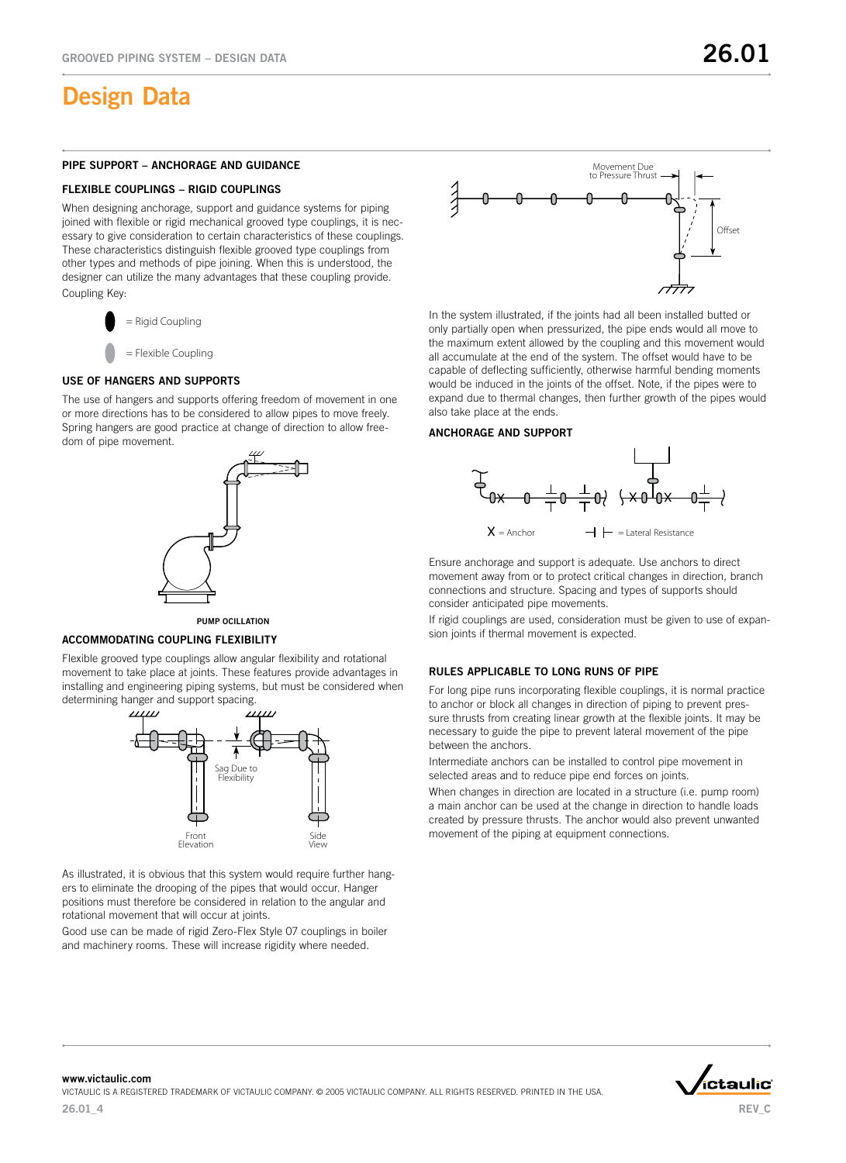#### PIPE SUPPORT – ANCHORAGE AND GUIDANCE

#### FLEXIBLE COUPLINGS – RIGID COUPLINGS

When designing anchorage, support and guidance systems for piping joined with flexible or rigid mechanical grooved type couplings, it is necessary to give consideration to certain characteristics of these couplings. These characteristics distinguish flexible grooved type couplings from other types and methods of pipe joining. When this is understood, the designer can utilize the many advantages that these coupling provide. Coupling Key:



# **USE OF HANGERS AND SUPPORTS**

The use of hangers and supports offering freedom of movement in one or more directions has to be considered to allow pipes to move freely. Spring hangers are good practice at change of direction to allow freedom of pipe movement.





#### **ACCOMMODATING COUPLING FLEXIBILITY**

Flexible grooved type couplings allow angular flexibility and rotational movement to take place at joints. These features provide advantages in installing and engineering piping systems, but must be considered when determining hanger and support spacing.



As illustrated, it is obvious that this system would require further hangers to eliminate the drooping of the pipes that would occur. Hanger positions must therefore be considered in relation to the angular and rotational movement that will occur at joints.

Good use can be made of rigid Zero-Flex Style 07 couplings in boiler and machinery rooms. These will increase rigidity where needed.



In the system illustrated, if the joints had all been installed butted or only partially open when pressurized, the pipe ends would all move to the maximum extent allowed by the coupling and this movement would all accumulate at the end of the system. The offset would have to be capable of deflecting sufficiently, otherwise harmful bending moments would be induced in the joints of the offset. Note, if the pipes were to expand due to thermal changes, then further growth of the pipes would also take place at the ends.

#### **ANCHORAGE AND SUPPORT**



Ensure anchorage and support is adequate. Use anchors to direct movement away from or to protect critical changes in direction, branch connections and structure. Spacing and types of supports should consider anticipated pipe movements.

If rigid couplings are used, consideration must be given to use of expansion joints if thermal movement is expected.

### RULES APPLICABLE TO LONG RUNS OF PIPE

For long pipe runs incorporating flexible couplings, it is normal practice to anchor or block all changes in direction of piping to prevent pressure thrusts from creating linear growth at the flexible joints. It may be necessary to guide the pipe to prevent lateral movement of the pipe between the anchors.

Intermediate anchors can be installed to control pipe movement in selected areas and to reduce pipe end forces on joints.

When changes in direction are located in a structure (i.e. pump room) a main anchor can be used at the change in direction to handle loads created by pressure thrusts. The anchor would also prevent unwanted movement of the piping at equipment connections.

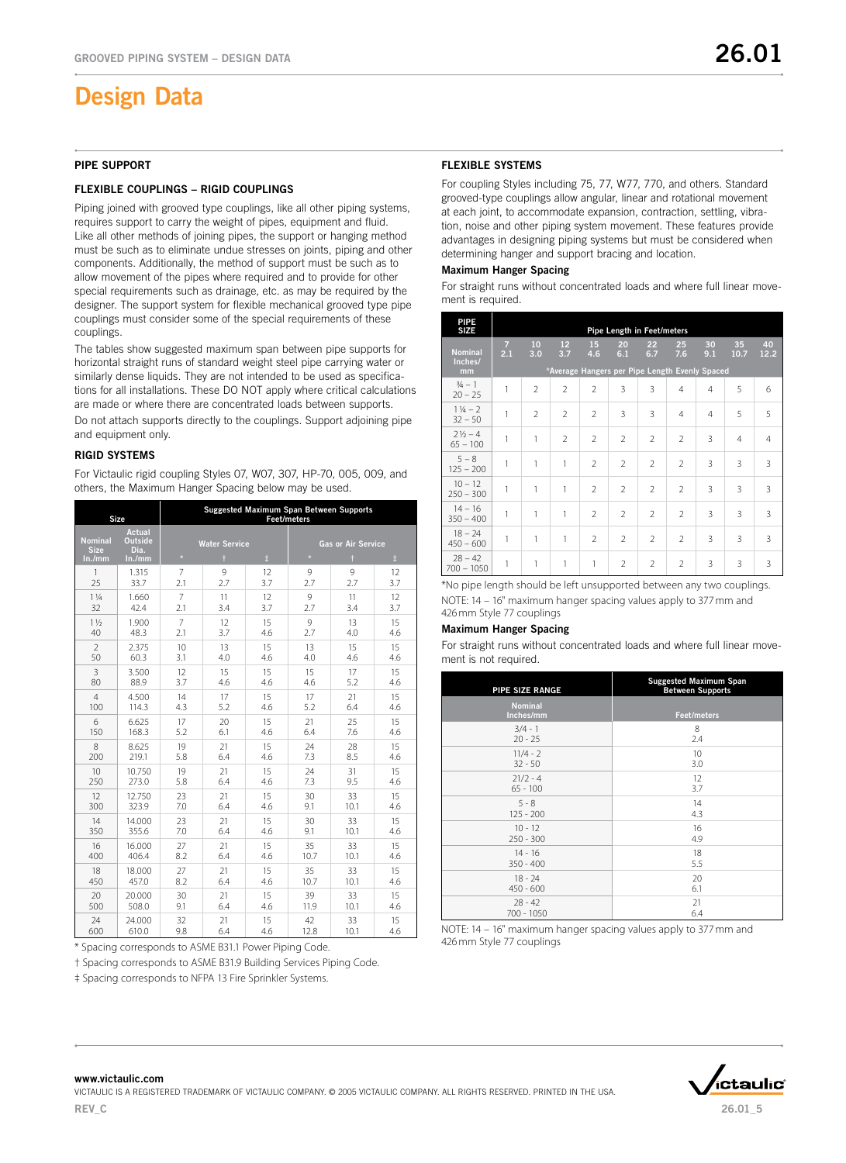#### **PIPE SUPPORT**

#### FLEXIBLE COUPLINGS - RIGID COUPLINGS

Piping joined with grooved type couplings, like all other piping systems, requires support to carry the weight of pipes, equipment and fluid. Like all other methods of joining pipes, the support or hanging method must be such as to eliminate undue stresses on joints, piping and other components. Additionally, the method of support must be such as to allow movement of the pipes where required and to provide for other special requirements such as drainage, etc. as may be required by the designer. The support system for flexible mechanical grooved type pipe couplings must consider some of the special requirements of these couplings.

The tables show suggested maximum span between pipe supports for horizontal straight runs of standard weight steel pipe carrying water or similarly dense liquids. They are not intended to be used as specifications for all installations. These DO NOT apply where critical calculations are made or where there are concentrated loads between supports.

Do not attach supports directly to the couplings. Support adjoining pipe and equipment only.

#### **RIGID SYSTEMS**

For Victaulic rigid coupling Styles 07, W07, 307, HP-70, 005, 009, and others, the Maximum Hanger Spacing below may be used.

|                               | Size                                    | Suggested Maximum Span Between Supports<br><b>Feet/meters</b> |                      |            |         |                    |            |  |
|-------------------------------|-----------------------------------------|---------------------------------------------------------------|----------------------|------------|---------|--------------------|------------|--|
| <b>Nominal</b><br><b>Size</b> | <b>Actual</b><br><b>Outside</b><br>Dia. |                                                               | <b>Water Service</b> |            |         | Gas or Air Service |            |  |
| In./mm                        | ln./mm                                  | $\star$                                                       | $\ddagger$           | $\ddagger$ | $\star$ | $\dagger$          | $\ddagger$ |  |
| 1                             | 1.315                                   | $\overline{7}$                                                | 9                    | 12         | 9       | 9                  | 12         |  |
| 25                            | 33.7                                    | 2.1                                                           | 2.7                  | 3.7        | 2.7     | 2.7                | 3.7        |  |
| $1\frac{1}{4}$                | 1.660                                   | $\overline{7}$                                                | 11                   | 12         | 9       | 11                 | 12         |  |
| 32                            | 42.4                                    | 2.1                                                           | 3.4                  | 3.7        | 2.7     | 3.4                | 3.7        |  |
| $1\frac{1}{2}$                | 1.900                                   | $\overline{7}$                                                | 12                   | 15         | 9       | 13                 | 15         |  |
| 40                            | 48.3                                    | 2.1                                                           | 3.7                  | 4.6        | 2.7     | 4.0                | 4.6        |  |
| $\overline{2}$                | 2.375                                   | 10                                                            | 13                   | 15         | 13      | 15                 | 15         |  |
| 50                            | 60.3                                    | 3.1                                                           | 4.0                  | 4.6        | 4.0     | 4.6                | 4.6        |  |
| $\overline{3}$                | 3.500                                   | 12                                                            | 15                   | 15         | 15      | 17                 | 15         |  |
| 80                            | 88.9                                    | 3.7                                                           | 4.6                  | 4.6        | 4.6     | 5.2                | 4.6        |  |
| $\overline{4}$                | 4.500                                   | 14                                                            | 17                   | 15         | 17      | 21                 | 15         |  |
| 100                           | 114.3                                   | 4.3                                                           | 5.2                  | 4.6        | 5.2     | 6.4                | 4.6        |  |
| 6                             | 6.625                                   | 17                                                            | 20                   | 15         | 21      | 25                 | 15         |  |
| 150                           | 168.3                                   | 5.2                                                           | 6.1                  | 4.6        | 6.4     | 7.6                | 4.6        |  |
| 8                             | 8.625                                   | 19                                                            | 21                   | 15         | 24      | 28                 | 15         |  |
| 200                           | 219.1                                   | 5.8                                                           | 6.4                  | 4.6        | 7.3     | 8.5                | 4.6        |  |
| 10                            | 10.750                                  | 19                                                            | 21                   | 15         | 24      | 31                 | 15         |  |
| 250                           | 273.0                                   | 5.8                                                           | 6.4                  | 4.6        | 7.3     | 9.5                | 4.6        |  |
| 12                            | 12.750                                  | 23                                                            | 21                   | 15         | 30      | 33                 | 15         |  |
| 300                           | 323.9                                   | 7.0                                                           | 6.4                  | 4.6        | 9.1     | 10.1               | 4.6        |  |
| 14                            | 14.000                                  | 23                                                            | 21                   | 15         | 30      | 33                 | 15         |  |
| 350                           | 355.6                                   | 7.0                                                           | 6.4                  | 4.6        | 9.1     | 10.1               | 4.6        |  |
| 16                            | 16.000                                  | 27                                                            | 21                   | 15         | 35      | 33                 | 15         |  |
| 400                           | 406.4                                   | 8.2                                                           | 6.4                  | 4.6        | 10.7    | 10.1               | 4.6        |  |
| 18                            | 18.000                                  | 27                                                            | 21                   | 15         | 35      | 33                 | 15         |  |
| 450                           | 457.0                                   | 8.2                                                           | 6.4                  | 4.6        | 10.7    | 10.1               | 4.6        |  |
| 20                            | 20.000                                  | 30                                                            | 21                   | 15         | 39      | 33                 | 15         |  |
| 500                           | 508.0                                   | 9.1                                                           | 6.4                  | 4.6        | 11.9    | 10.1               | 4.6        |  |
| 24                            | 24.000                                  | 32                                                            | 21                   | 15         | 42      | 33                 | 15         |  |
| 600                           | 610.0                                   | 9.8                                                           | 6.4                  | 4.6        | 12.8    | 10.1               | 4.6        |  |

\* Spacing corresponds to ASME B31.1 Power Piping Code.

† Spacing corresponds to ASME B31.9 Building Services Piping Code.

‡ Spacing corresponds to NFPA 13 Fire Sprinkler Systems.

#### FLEXIBLE SySTEMS

For coupling Styles including 75, 77, W77, 770, and others. Standard grooved-type couplings allow angular, linear and rotational movement at each joint, to accommodate expansion, contraction, settling, vibration, noise and other piping system movement. These features provide advantages in designing piping systems but must be considered when determining hanger and support bracing and location.

### Maximum Hanger Spacing

For straight runs without concentrated loads and where full linear movement is required.

| <b>PIPE</b><br>SIZE              |          |                |                          |                                                             |                          | Pipe Length in Feet/meters |                          |                |                |                |
|----------------------------------|----------|----------------|--------------------------|-------------------------------------------------------------|--------------------------|----------------------------|--------------------------|----------------|----------------|----------------|
| <b>Nominal</b><br>Inches/<br>mm  | 7<br>2.1 | 10<br>3.0      | 12<br>3.7                | 15<br>4.6<br>*Average Hangers per Pipe Length Evenly Spaced | 20<br>6.1                | 22<br>6.7                  | 25<br>7.6                | 30<br>9.1      | 35<br>10.7     | 40<br>12.2     |
| $\frac{3}{4} - 1$<br>$20 - 25$   | 1        | $\overline{2}$ | $\overline{2}$           | $\overline{2}$                                              | 3                        | 3                          | $\overline{4}$           | $\overline{4}$ | 5              | 6              |
| $1\frac{1}{4} - 2$<br>$32 - 50$  | 1        | $\overline{2}$ | $\overline{\phantom{a}}$ | $\overline{\phantom{a}}$                                    | 3                        | 3                          | $\overline{4}$           | $\overline{4}$ | 5              | 5              |
| $2\frac{1}{2} - 4$<br>$65 - 100$ | 1        | 1              | $\overline{2}$           | $\overline{\phantom{a}}$                                    | $\overline{2}$           | $\overline{2}$             | $\overline{2}$           | 3              | $\overline{4}$ | $\overline{4}$ |
| $5 - 8$<br>$125 - 200$           | 1        | 1              | 1                        | $\overline{\phantom{a}}$                                    | $\overline{2}$           | $\mathcal{P}$              | $\overline{2}$           | 3              | 3              | 3              |
| $10 - 12$<br>$250 - 300$         | 1        | 1              | 1                        | $\overline{\phantom{a}}$                                    | $\overline{\phantom{a}}$ | $\overline{\phantom{a}}$   | $\overline{\phantom{a}}$ | 3              | 3              | 3              |
| $14 - 16$<br>$350 - 400$         | 1        | 1              | 1                        | $\overline{\phantom{a}}$                                    | $\overline{\phantom{a}}$ | $\overline{2}$             | $\overline{2}$           | 3              | 3              | 3              |
| $18 - 24$<br>$450 - 600$         | 1        | 1              | 1                        | $\overline{2}$                                              | $\overline{2}$           | $\overline{2}$             | $\overline{2}$           | 3              | 3              | 3              |
| $28 - 42$<br>$700 - 1050$        | 1        | 1              | 1                        | 1                                                           | $\overline{2}$           | $\overline{2}$             | $\overline{2}$           | 3              | 3              | 3              |

\*No pipe length should be left unsupported between any two couplings. NOTE: 14 – 16" maximum hanger spacing values apply to 377 mm and 426 mm Style 77 couplings

#### Maximum Hanger Spacing

For straight runs without concentrated loads and where full linear movement is not required.

| PIPE SIZE RANGE             | <b>Suggested Maximum Span</b><br><b>Between Supports</b> |
|-----------------------------|----------------------------------------------------------|
| <b>Nominal</b><br>Inches/mm | <b>Feet/meters</b>                                       |
| $3/4 - 1$                   | 8                                                        |
| $20 - 25$                   | 2.4                                                      |
| $11/4 - 2$                  | 10                                                       |
| $32 - 50$                   | 3.0                                                      |
| $21/2 - 4$                  | 12                                                       |
| $65 - 100$                  | 3.7                                                      |
| $5 - 8$                     | 14                                                       |
| $125 - 200$                 | 4.3                                                      |
| $10 - 12$                   | 16                                                       |
| $250 - 300$                 | 4.9                                                      |
| $14 - 16$                   | 18                                                       |
| $350 - 400$                 | 5.5                                                      |
| $18 - 24$                   | 20                                                       |
| $450 - 600$                 | 6.1                                                      |
| $28 - 42$                   | 21                                                       |
| 700 - 1050                  | 6.4                                                      |

NOTE: 14 – 16" maximum hanger spacing values apply to 377 mm and 426 mm Style 77 couplings

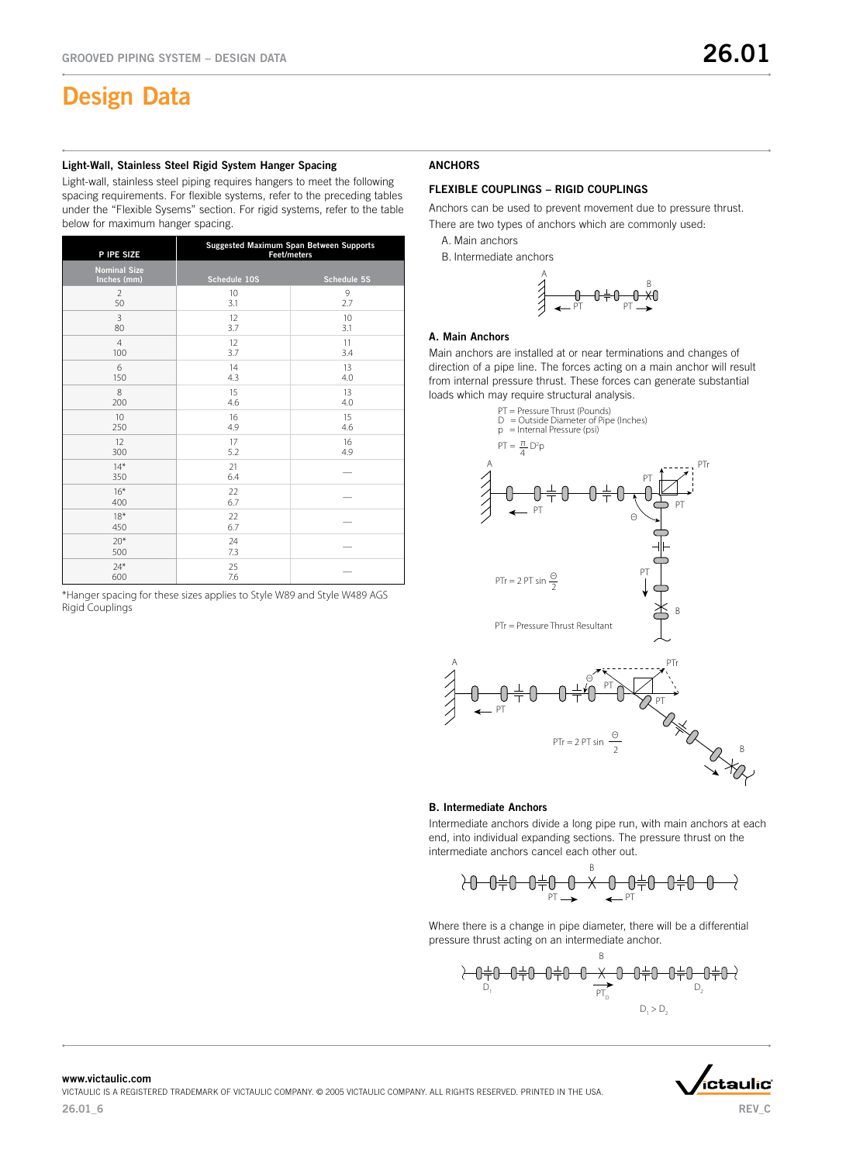### Light-Wall, Stainless Steel Rigid System Hanger Spacing

Light-wall, stainless steel piping requires hangers to meet the following spacing requirements. For flexible systems, refer to the preceding tables under the "Flexible Sysems" section. For rigid systems, refer to the table below for maximum hanger spacing.

| P IPE SIZE                         | Suggested Maximum Span Between Supports<br>Feet/meters |             |  |  |  |  |
|------------------------------------|--------------------------------------------------------|-------------|--|--|--|--|
| <b>Nominal Size</b><br>Inches (mm) | Schedule 10S                                           | Schedule 5S |  |  |  |  |
| $\overline{2}$                     | 10                                                     | 9           |  |  |  |  |
| 50                                 | 3.1                                                    | 2.7         |  |  |  |  |
| 3                                  | 12                                                     | 10          |  |  |  |  |
| 80                                 | 3.7                                                    | 3.1         |  |  |  |  |
| $\overline{4}$                     | 12                                                     | 11          |  |  |  |  |
| 100                                | 3.7                                                    | 3.4         |  |  |  |  |
| 6                                  | 14                                                     | 13          |  |  |  |  |
| 150                                | 4.3                                                    | 4.0         |  |  |  |  |
| 8                                  | 15                                                     | 13          |  |  |  |  |
| 200                                | 4.6                                                    | 4.0         |  |  |  |  |
| 10                                 | 16                                                     | 15          |  |  |  |  |
| 250                                | 4.9                                                    | 4.6         |  |  |  |  |
| 12                                 | 17                                                     | 16          |  |  |  |  |
| 300                                | 5.2                                                    | 4.9         |  |  |  |  |
| $14*$<br>350                       | 21<br>6.4                                              |             |  |  |  |  |
| $16*$<br>400                       | 22<br>6.7                                              |             |  |  |  |  |
| $18*$<br>450                       | 22<br>6.7                                              |             |  |  |  |  |
| $20*$<br>500                       | 24<br>7.3                                              |             |  |  |  |  |
| $74*$<br>600                       | 25<br>7.6                                              |             |  |  |  |  |

\*Hanger spacing for these sizes applies to Style W89 and Style W489 AGS Rigid Couplings

### ANCHORS

## FLEXIBLE COUPLINGS – RIGID COUPLINGS

Anchors can be used to prevent movement due to pressure thrust. There are two types of anchors which are commonly used:

A. Main anchors

B. Intermediate anchors

$$
\overbrace{}
$$

#### A. Main Anchors

Main anchors are installed at or near terminations and changes of direction of a pipe line. The forces acting on a main anchor will result from internal pressure thrust. These forces can generate substantial loads which may require structural analysis.



#### B. Intermediate Anchors

Intermediate anchors divide a long pipe run, with main anchors at each end, into individual expanding sections. The pressure thrust on the intermediate anchors cancel each other out.

$$
\lambda 0 - 0 + 0 - 0 + 0 - 0 \times 0
$$

Where there is a change in pipe diameter, there will be a differential pressure thrust acting on an intermediate anchor.

D1 D2 PTD D1 > D2

B



REV C